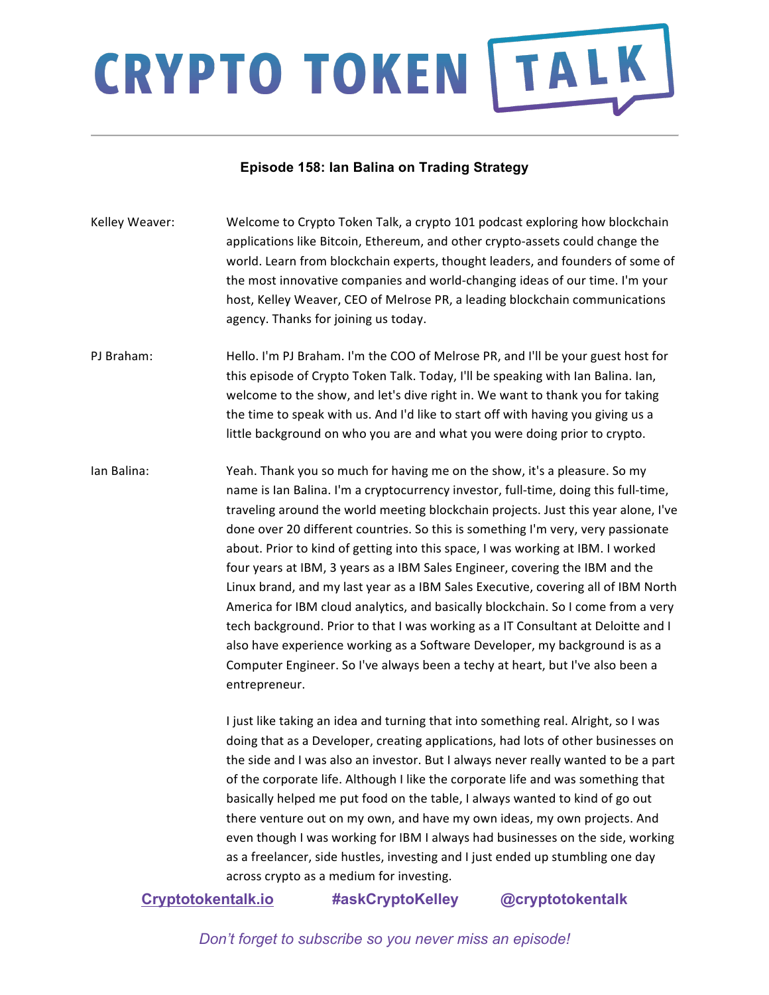#### **Episode 158: Ian Balina on Trading Strategy**

- Kelley Weaver: Welcome to Crypto Token Talk, a crypto 101 podcast exploring how blockchain applications like Bitcoin, Ethereum, and other crypto-assets could change the world. Learn from blockchain experts, thought leaders, and founders of some of the most innovative companies and world-changing ideas of our time. I'm your host, Kelley Weaver, CEO of Melrose PR, a leading blockchain communications agency. Thanks for joining us today.
- PJ Braham: Hello. I'm PJ Braham. I'm the COO of Melrose PR, and I'll be your guest host for this episode of Crypto Token Talk. Today, I'll be speaking with Ian Balina. Ian, welcome to the show, and let's dive right in. We want to thank you for taking the time to speak with us. And I'd like to start off with having you giving us a little background on who you are and what you were doing prior to crypto.
- Ian Balina: Yeah. Thank you so much for having me on the show, it's a pleasure. So my name is Ian Balina. I'm a cryptocurrency investor, full-time, doing this full-time, traveling around the world meeting blockchain projects. Just this year alone, I've done over 20 different countries. So this is something I'm very, very passionate about. Prior to kind of getting into this space, I was working at IBM. I worked four years at IBM, 3 years as a IBM Sales Engineer, covering the IBM and the Linux brand, and my last year as a IBM Sales Executive, covering all of IBM North America for IBM cloud analytics, and basically blockchain. So I come from a very tech background. Prior to that I was working as a IT Consultant at Deloitte and I also have experience working as a Software Developer, my background is as a Computer Engineer. So I've always been a techy at heart, but I've also been a entrepreneur.

I just like taking an idea and turning that into something real. Alright, so I was doing that as a Developer, creating applications, had lots of other businesses on the side and I was also an investor. But I always never really wanted to be a part of the corporate life. Although I like the corporate life and was something that basically helped me put food on the table, I always wanted to kind of go out there venture out on my own, and have my own ideas, my own projects. And even though I was working for IBM I always had businesses on the side, working as a freelancer, side hustles, investing and I just ended up stumbling one day across crypto as a medium for investing.

### **Cryptotokentalk.io #askCryptoKelley @cryptotokentalk**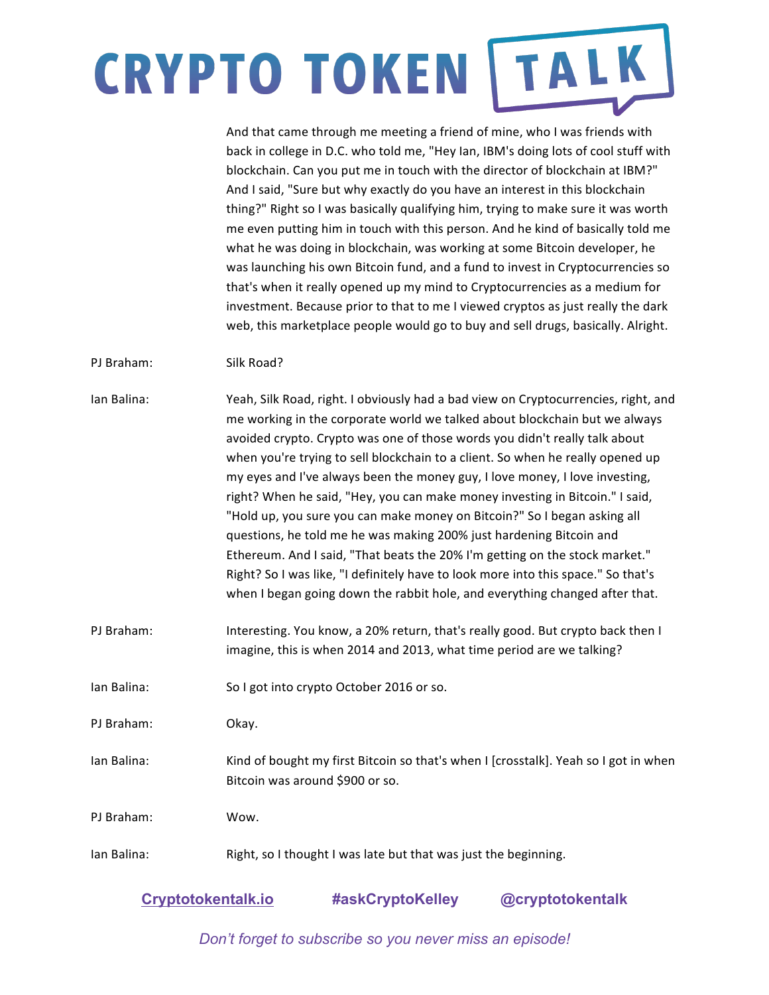And that came through me meeting a friend of mine, who I was friends with back in college in D.C. who told me, "Hey Ian, IBM's doing lots of cool stuff with blockchain. Can you put me in touch with the director of blockchain at IBM?" And I said, "Sure but why exactly do you have an interest in this blockchain thing?" Right so I was basically qualifying him, trying to make sure it was worth me even putting him in touch with this person. And he kind of basically told me what he was doing in blockchain, was working at some Bitcoin developer, he was launching his own Bitcoin fund, and a fund to invest in Cryptocurrencies so that's when it really opened up my mind to Cryptocurrencies as a medium for investment. Because prior to that to me I viewed cryptos as just really the dark web, this marketplace people would go to buy and sell drugs, basically. Alright.

PI Braham: Silk Road?

| Ian Balina: | Yeah, Silk Road, right. I obviously had a bad view on Cryptocurrencies, right, and<br>me working in the corporate world we talked about blockchain but we always<br>avoided crypto. Crypto was one of those words you didn't really talk about<br>when you're trying to sell blockchain to a client. So when he really opened up<br>my eyes and I've always been the money guy, I love money, I love investing,<br>right? When he said, "Hey, you can make money investing in Bitcoin." I said,<br>"Hold up, you sure you can make money on Bitcoin?" So I began asking all<br>questions, he told me he was making 200% just hardening Bitcoin and<br>Ethereum. And I said, "That beats the 20% I'm getting on the stock market."<br>Right? So I was like, "I definitely have to look more into this space." So that's<br>when I began going down the rabbit hole, and everything changed after that. |
|-------------|-------------------------------------------------------------------------------------------------------------------------------------------------------------------------------------------------------------------------------------------------------------------------------------------------------------------------------------------------------------------------------------------------------------------------------------------------------------------------------------------------------------------------------------------------------------------------------------------------------------------------------------------------------------------------------------------------------------------------------------------------------------------------------------------------------------------------------------------------------------------------------------------------------|
| PJ Braham:  | Interesting. You know, a 20% return, that's really good. But crypto back then I<br>imagine, this is when 2014 and 2013, what time period are we talking?                                                                                                                                                                                                                                                                                                                                                                                                                                                                                                                                                                                                                                                                                                                                              |
| Ian Balina: | So I got into crypto October 2016 or so.                                                                                                                                                                                                                                                                                                                                                                                                                                                                                                                                                                                                                                                                                                                                                                                                                                                              |
| PJ Braham:  | Okay.                                                                                                                                                                                                                                                                                                                                                                                                                                                                                                                                                                                                                                                                                                                                                                                                                                                                                                 |
| Ian Balina: | Kind of bought my first Bitcoin so that's when I [crosstalk]. Yeah so I got in when<br>Bitcoin was around \$900 or so.                                                                                                                                                                                                                                                                                                                                                                                                                                                                                                                                                                                                                                                                                                                                                                                |
| PJ Braham:  | Wow.                                                                                                                                                                                                                                                                                                                                                                                                                                                                                                                                                                                                                                                                                                                                                                                                                                                                                                  |

Ian Balina: Right, so I thought I was late but that was just the beginning.

| <b>Cryptotokentalk.io</b> | #askCryptoKelley | @cryptotokentalk |
|---------------------------|------------------|------------------|
|---------------------------|------------------|------------------|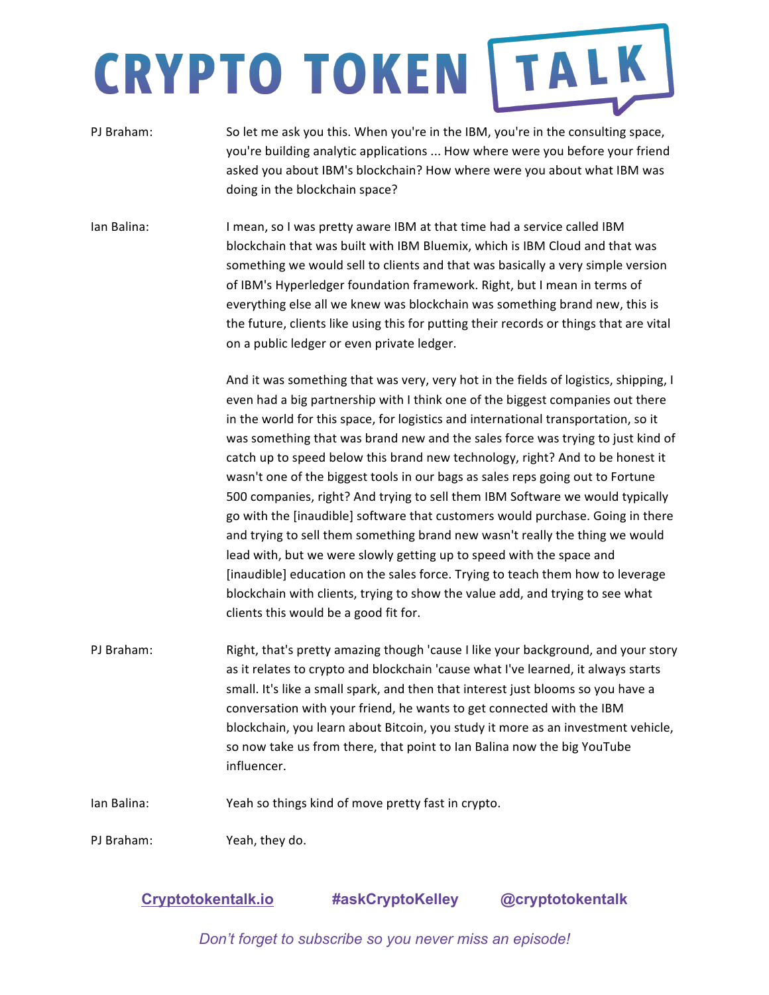- PJ Braham: So let me ask you this. When you're in the IBM, you're in the consulting space, you're building analytic applications ... How where were you before your friend asked you about IBM's blockchain? How where were you about what IBM was doing in the blockchain space?
- Ian Balina: Imean, so I was pretty aware IBM at that time had a service called IBM blockchain that was built with IBM Bluemix, which is IBM Cloud and that was something we would sell to clients and that was basically a very simple version of IBM's Hyperledger foundation framework. Right, but I mean in terms of everything else all we knew was blockchain was something brand new, this is the future, clients like using this for putting their records or things that are vital on a public ledger or even private ledger.

And it was something that was very, very hot in the fields of logistics, shipping, I even had a big partnership with I think one of the biggest companies out there in the world for this space, for logistics and international transportation, so it was something that was brand new and the sales force was trying to just kind of catch up to speed below this brand new technology, right? And to be honest it wasn't one of the biggest tools in our bags as sales reps going out to Fortune 500 companies, right? And trying to sell them IBM Software we would typically go with the [inaudible] software that customers would purchase. Going in there and trying to sell them something brand new wasn't really the thing we would lead with, but we were slowly getting up to speed with the space and [inaudible] education on the sales force. Trying to teach them how to leverage blockchain with clients, trying to show the value add, and trying to see what clients this would be a good fit for.

- PJ Braham: Right, that's pretty amazing though 'cause I like your background, and your story as it relates to crypto and blockchain 'cause what I've learned, it always starts small. It's like a small spark, and then that interest just blooms so you have a conversation with your friend, he wants to get connected with the IBM blockchain, you learn about Bitcoin, you study it more as an investment vehicle, so now take us from there, that point to Ian Balina now the big YouTube influencer.
- Ian Balina: Yeah so things kind of move pretty fast in crypto.

PJ Braham: Yeah, they do.

**Cryptotokentalk.io #askCryptoKelley @cryptotokentalk**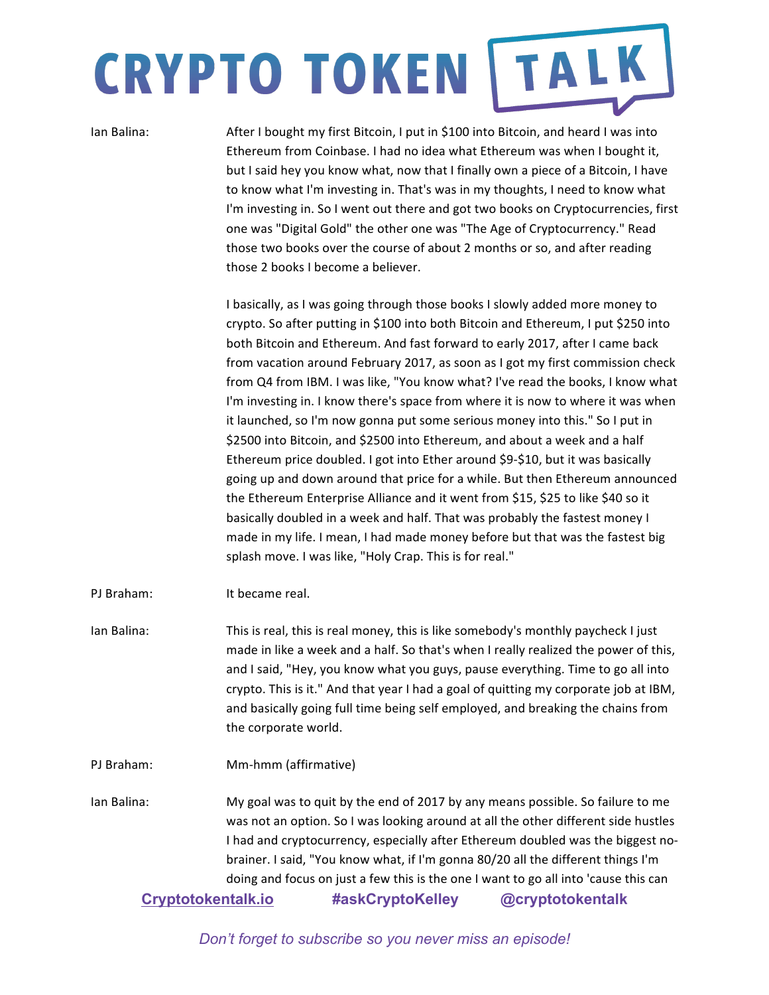Ian Balina: After I bought my first Bitcoin, I put in \$100 into Bitcoin, and heard I was into Ethereum from Coinbase. I had no idea what Ethereum was when I bought it, but I said hey you know what, now that I finally own a piece of a Bitcoin, I have to know what I'm investing in. That's was in my thoughts, I need to know what I'm investing in. So I went out there and got two books on Cryptocurrencies, first one was "Digital Gold" the other one was "The Age of Cryptocurrency." Read those two books over the course of about 2 months or so, and after reading those 2 books I become a believer.

> I basically, as I was going through those books I slowly added more money to crypto. So after putting in \$100 into both Bitcoin and Ethereum, I put \$250 into both Bitcoin and Ethereum. And fast forward to early 2017, after I came back from vacation around February 2017, as soon as I got my first commission check from Q4 from IBM. I was like, "You know what? I've read the books, I know what I'm investing in. I know there's space from where it is now to where it was when it launched, so I'm now gonna put some serious money into this." So I put in \$2500 into Bitcoin, and \$2500 into Ethereum, and about a week and a half Ethereum price doubled. I got into Ether around \$9-\$10, but it was basically going up and down around that price for a while. But then Ethereum announced the Ethereum Enterprise Alliance and it went from \$15, \$25 to like \$40 so it basically doubled in a week and half. That was probably the fastest money I made in my life. I mean, I had made money before but that was the fastest big splash move. I was like, "Holy Crap. This is for real."

- PJ Braham: It became real.
- Ian Balina: This is real, this is real money, this is like somebody's monthly paycheck I just made in like a week and a half. So that's when I really realized the power of this, and I said, "Hey, you know what you guys, pause everything. Time to go all into crypto. This is it." And that year I had a goal of quitting my corporate job at IBM, and basically going full time being self employed, and breaking the chains from the corporate world.
- PJ Braham: Mm-hmm (affirmative)

**Cryptotokentalk.io #askCryptoKelley @cryptotokentalk** Ian Balina: My goal was to quit by the end of 2017 by any means possible. So failure to me was not an option. So I was looking around at all the other different side hustles I had and cryptocurrency, especially after Ethereum doubled was the biggest nobrainer. I said, "You know what, if I'm gonna 80/20 all the different things I'm doing and focus on just a few this is the one I want to go all into 'cause this can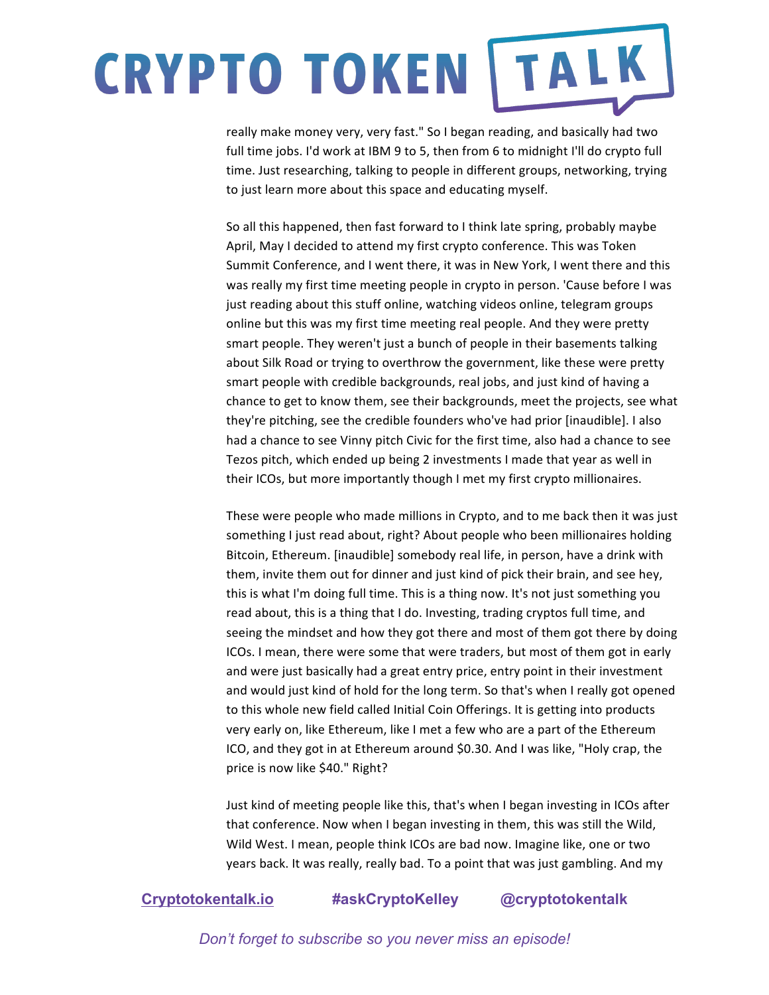really make money very, very fast." So I began reading, and basically had two full time jobs. I'd work at IBM 9 to 5, then from 6 to midnight I'll do crypto full time. Just researching, talking to people in different groups, networking, trying to just learn more about this space and educating myself.

So all this happened, then fast forward to I think late spring, probably maybe April, May I decided to attend my first crypto conference. This was Token Summit Conference, and I went there, it was in New York, I went there and this was really my first time meeting people in crypto in person. 'Cause before I was just reading about this stuff online, watching videos online, telegram groups online but this was my first time meeting real people. And they were pretty smart people. They weren't just a bunch of people in their basements talking about Silk Road or trying to overthrow the government, like these were pretty smart people with credible backgrounds, real jobs, and just kind of having a chance to get to know them, see their backgrounds, meet the projects, see what they're pitching, see the credible founders who've had prior [inaudible]. I also had a chance to see Vinny pitch Civic for the first time, also had a chance to see Tezos pitch, which ended up being 2 investments I made that year as well in their ICOs, but more importantly though I met my first crypto millionaires.

These were people who made millions in Crypto, and to me back then it was just something I just read about, right? About people who been millionaires holding Bitcoin, Ethereum. [inaudible] somebody real life, in person, have a drink with them, invite them out for dinner and just kind of pick their brain, and see hey, this is what I'm doing full time. This is a thing now. It's not just something you read about, this is a thing that I do. Investing, trading cryptos full time, and seeing the mindset and how they got there and most of them got there by doing ICOs. I mean, there were some that were traders, but most of them got in early and were just basically had a great entry price, entry point in their investment and would just kind of hold for the long term. So that's when I really got opened to this whole new field called Initial Coin Offerings. It is getting into products very early on, like Ethereum, like I met a few who are a part of the Ethereum ICO, and they got in at Ethereum around \$0.30. And I was like, "Holy crap, the price is now like \$40." Right?

Just kind of meeting people like this, that's when I began investing in ICOs after that conference. Now when I began investing in them, this was still the Wild, Wild West. I mean, people think ICOs are bad now. Imagine like, one or two years back. It was really, really bad. To a point that was just gambling. And my

### **Cryptotokentalk.io #askCryptoKelley @cryptotokentalk**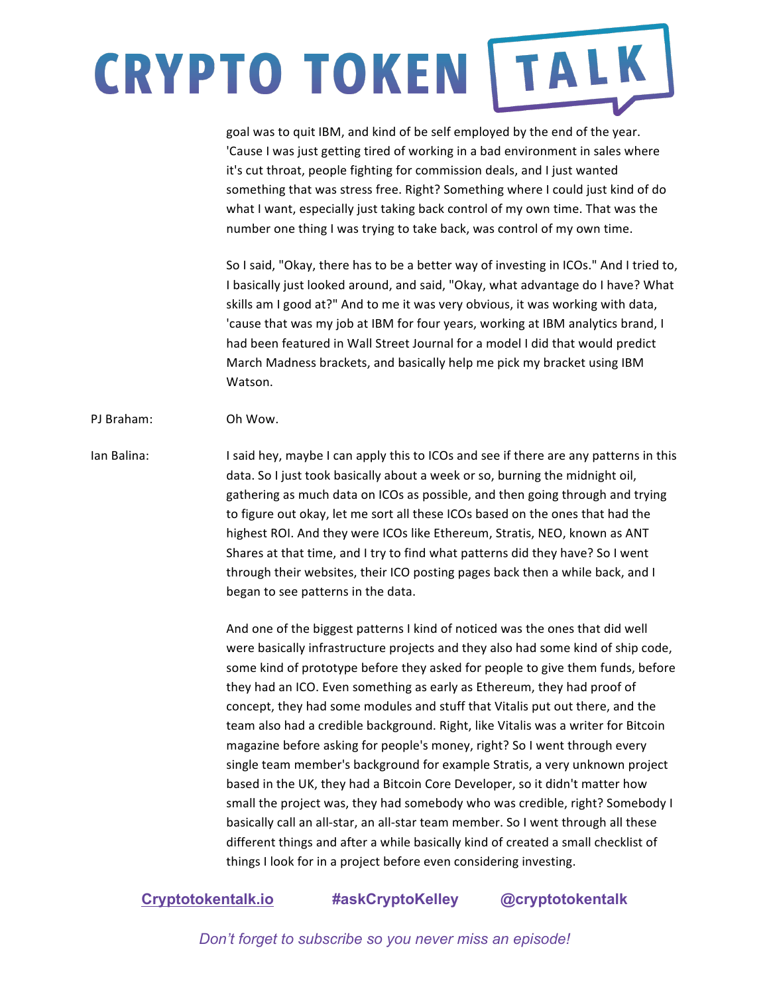goal was to quit IBM, and kind of be self employed by the end of the year. 'Cause I was just getting tired of working in a bad environment in sales where it's cut throat, people fighting for commission deals, and I just wanted something that was stress free. Right? Something where I could just kind of do what I want, especially just taking back control of my own time. That was the number one thing I was trying to take back, was control of my own time.

So I said, "Okay, there has to be a better way of investing in ICOs." And I tried to, I basically just looked around, and said, "Okay, what advantage do I have? What skills am I good at?" And to me it was very obvious, it was working with data, 'cause that was my job at IBM for four years, working at IBM analytics brand, I had been featured in Wall Street Journal for a model I did that would predict March Madness brackets, and basically help me pick my bracket using IBM Watson.

#### PI Braham: Oh Wow.

Ian Balina: I said hey, maybe I can apply this to ICOs and see if there are any patterns in this data. So I just took basically about a week or so, burning the midnight oil, gathering as much data on ICOs as possible, and then going through and trying to figure out okay, let me sort all these ICOs based on the ones that had the highest ROI. And they were ICOs like Ethereum, Stratis, NEO, known as ANT Shares at that time, and I try to find what patterns did they have? So I went through their websites, their ICO posting pages back then a while back, and I began to see patterns in the data.

> And one of the biggest patterns I kind of noticed was the ones that did well were basically infrastructure projects and they also had some kind of ship code, some kind of prototype before they asked for people to give them funds, before they had an ICO. Even something as early as Ethereum, they had proof of concept, they had some modules and stuff that Vitalis put out there, and the team also had a credible background. Right, like Vitalis was a writer for Bitcoin magazine before asking for people's money, right? So I went through every single team member's background for example Stratis, a very unknown project based in the UK, they had a Bitcoin Core Developer, so it didn't matter how small the project was, they had somebody who was credible, right? Somebody I basically call an all-star, an all-star team member. So I went through all these different things and after a while basically kind of created a small checklist of things I look for in a project before even considering investing.

### **Cryptotokentalk.io #askCryptoKelley @cryptotokentalk**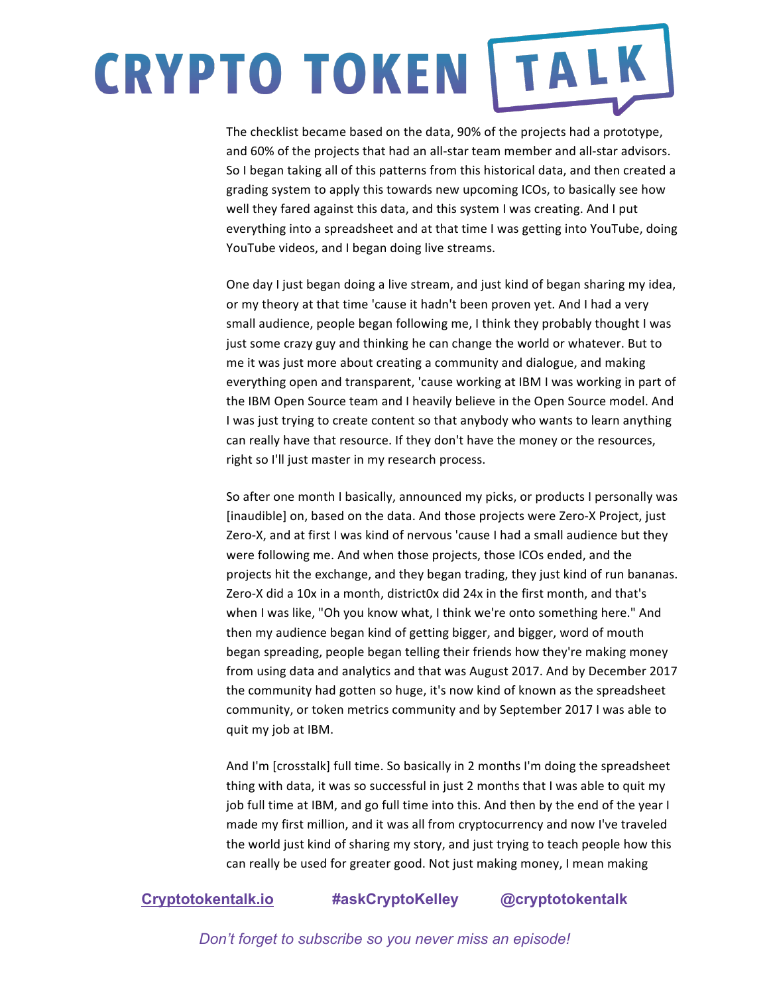The checklist became based on the data, 90% of the projects had a prototype, and 60% of the projects that had an all-star team member and all-star advisors. So I began taking all of this patterns from this historical data, and then created a grading system to apply this towards new upcoming ICOs, to basically see how well they fared against this data, and this system I was creating. And I put everything into a spreadsheet and at that time I was getting into YouTube, doing YouTube videos, and I began doing live streams.

One day I just began doing a live stream, and just kind of began sharing my idea, or my theory at that time 'cause it hadn't been proven yet. And I had a very small audience, people began following me, I think they probably thought I was just some crazy guy and thinking he can change the world or whatever. But to me it was just more about creating a community and dialogue, and making everything open and transparent, 'cause working at IBM I was working in part of the IBM Open Source team and I heavily believe in the Open Source model. And I was just trying to create content so that anybody who wants to learn anything can really have that resource. If they don't have the money or the resources, right so I'll just master in my research process.

So after one month I basically, announced my picks, or products I personally was [inaudible] on, based on the data. And those projects were Zero-X Project, just Zero-X, and at first I was kind of nervous 'cause I had a small audience but they were following me. And when those projects, those ICOs ended, and the projects hit the exchange, and they began trading, they just kind of run bananas. Zero-X did a 10x in a month, district0x did 24x in the first month, and that's when I was like, "Oh you know what, I think we're onto something here." And then my audience began kind of getting bigger, and bigger, word of mouth began spreading, people began telling their friends how they're making money from using data and analytics and that was August 2017. And by December 2017 the community had gotten so huge, it's now kind of known as the spreadsheet community, or token metrics community and by September 2017 I was able to quit my job at IBM.

And I'm [crosstalk] full time. So basically in 2 months I'm doing the spreadsheet thing with data, it was so successful in just 2 months that I was able to quit my job full time at IBM, and go full time into this. And then by the end of the year I made my first million, and it was all from cryptocurrency and now I've traveled the world just kind of sharing my story, and just trying to teach people how this can really be used for greater good. Not just making money, I mean making

#### **Cryptotokentalk.io #askCryptoKelley @cryptotokentalk**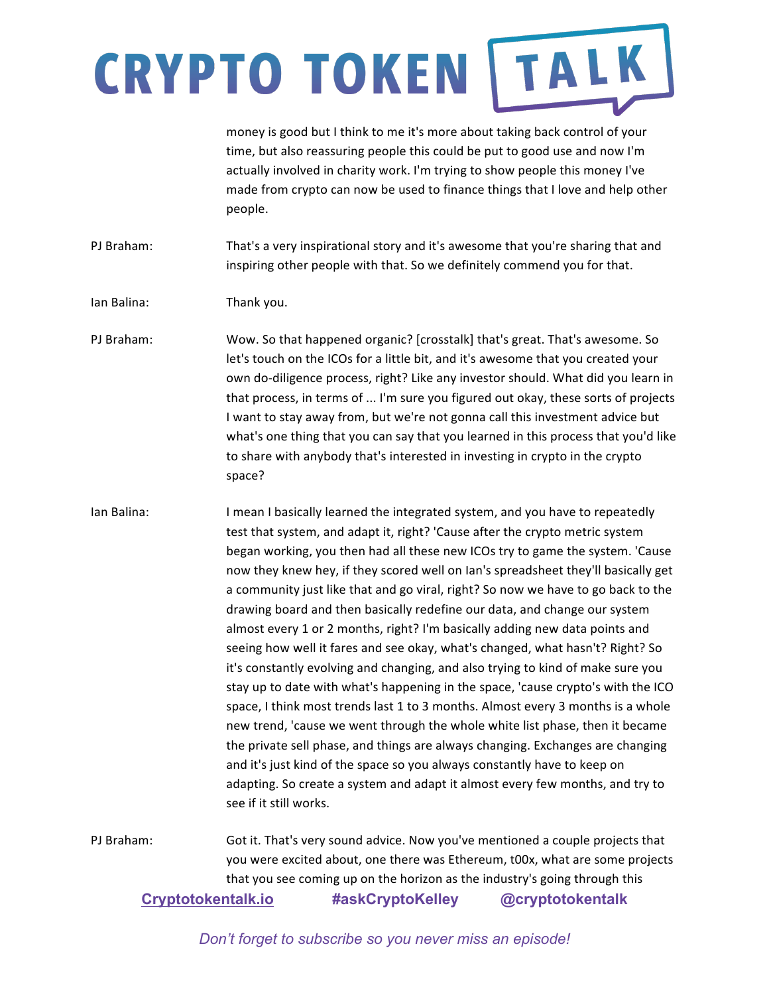money is good but I think to me it's more about taking back control of your time, but also reassuring people this could be put to good use and now I'm actually involved in charity work. I'm trying to show people this money I've made from crypto can now be used to finance things that I love and help other people. 

PJ Braham: That's a very inspirational story and it's awesome that you're sharing that and inspiring other people with that. So we definitely commend you for that.

Ian Balina: Thank you.

PJ Braham: Wow. So that happened organic? [crosstalk] that's great. That's awesome. So let's touch on the ICOs for a little bit, and it's awesome that you created your own do-diligence process, right? Like any investor should. What did you learn in that process, in terms of ... I'm sure you figured out okay, these sorts of projects I want to stay away from, but we're not gonna call this investment advice but what's one thing that you can say that you learned in this process that you'd like to share with anybody that's interested in investing in crypto in the crypto space?

Ian Balina: I mean I basically learned the integrated system, and you have to repeatedly test that system, and adapt it, right? 'Cause after the crypto metric system began working, you then had all these new ICOs try to game the system. 'Cause now they knew hey, if they scored well on Ian's spreadsheet they'll basically get a community just like that and go viral, right? So now we have to go back to the drawing board and then basically redefine our data, and change our system almost every 1 or 2 months, right? I'm basically adding new data points and seeing how well it fares and see okay, what's changed, what hasn't? Right? So it's constantly evolving and changing, and also trying to kind of make sure you stay up to date with what's happening in the space, 'cause crypto's with the ICO space, I think most trends last 1 to 3 months. Almost every 3 months is a whole new trend, 'cause we went through the whole white list phase, then it became the private sell phase, and things are always changing. Exchanges are changing and it's just kind of the space so you always constantly have to keep on adapting. So create a system and adapt it almost every few months, and try to see if it still works.

**Cryptotokentalk.io #askCryptoKelley @cryptotokentalk** PJ Braham: Got it. That's very sound advice. Now you've mentioned a couple projects that you were excited about, one there was Ethereum, t00x, what are some projects that you see coming up on the horizon as the industry's going through this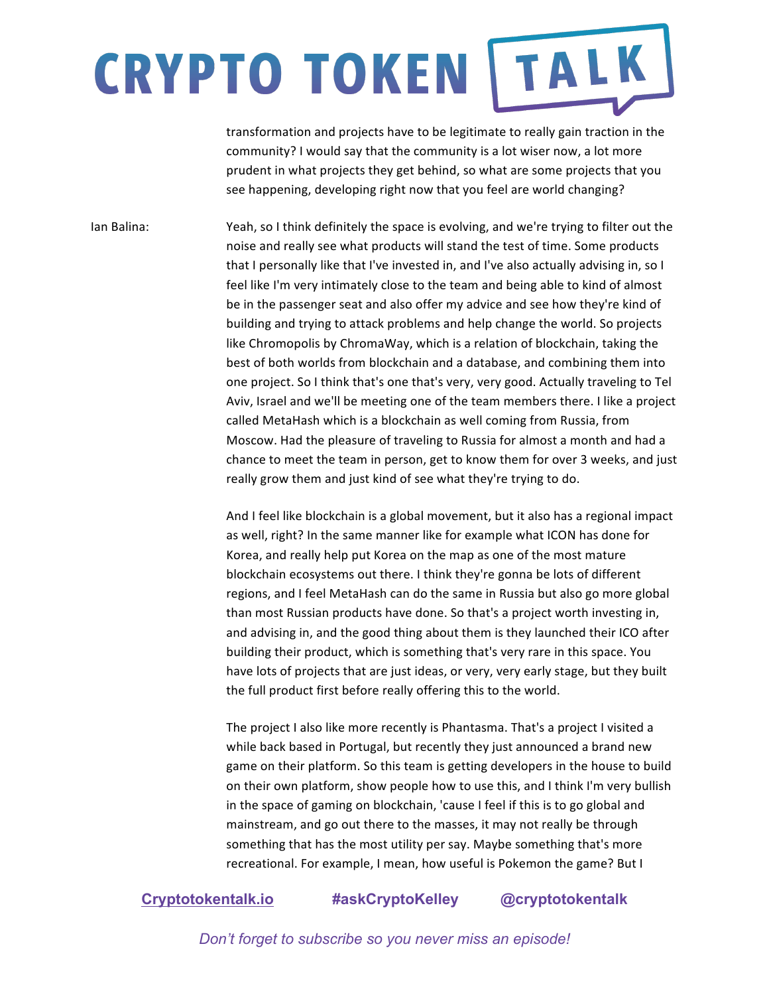transformation and projects have to be legitimate to really gain traction in the community? I would say that the community is a lot wiser now, a lot more prudent in what projects they get behind, so what are some projects that you see happening, developing right now that you feel are world changing?

Ian Balina: Yeah, so I think definitely the space is evolving, and we're trying to filter out the noise and really see what products will stand the test of time. Some products that I personally like that I've invested in, and I've also actually advising in, so I feel like I'm very intimately close to the team and being able to kind of almost be in the passenger seat and also offer my advice and see how they're kind of building and trying to attack problems and help change the world. So projects like Chromopolis by ChromaWay, which is a relation of blockchain, taking the best of both worlds from blockchain and a database, and combining them into one project. So I think that's one that's very, very good. Actually traveling to Tel Aviv, Israel and we'll be meeting one of the team members there. I like a project called MetaHash which is a blockchain as well coming from Russia, from Moscow. Had the pleasure of traveling to Russia for almost a month and had a chance to meet the team in person, get to know them for over 3 weeks, and just really grow them and just kind of see what they're trying to do.

> And I feel like blockchain is a global movement, but it also has a regional impact as well, right? In the same manner like for example what ICON has done for Korea, and really help put Korea on the map as one of the most mature blockchain ecosystems out there. I think they're gonna be lots of different regions, and I feel MetaHash can do the same in Russia but also go more global than most Russian products have done. So that's a project worth investing in, and advising in, and the good thing about them is they launched their ICO after building their product, which is something that's very rare in this space. You have lots of projects that are just ideas, or very, very early stage, but they built the full product first before really offering this to the world.

> The project I also like more recently is Phantasma. That's a project I visited a while back based in Portugal, but recently they just announced a brand new game on their platform. So this team is getting developers in the house to build on their own platform, show people how to use this, and I think I'm very bullish in the space of gaming on blockchain, 'cause I feel if this is to go global and mainstream, and go out there to the masses, it may not really be through something that has the most utility per say. Maybe something that's more recreational. For example, I mean, how useful is Pokemon the game? But I

#### **Cryptotokentalk.io #askCryptoKelley @cryptotokentalk**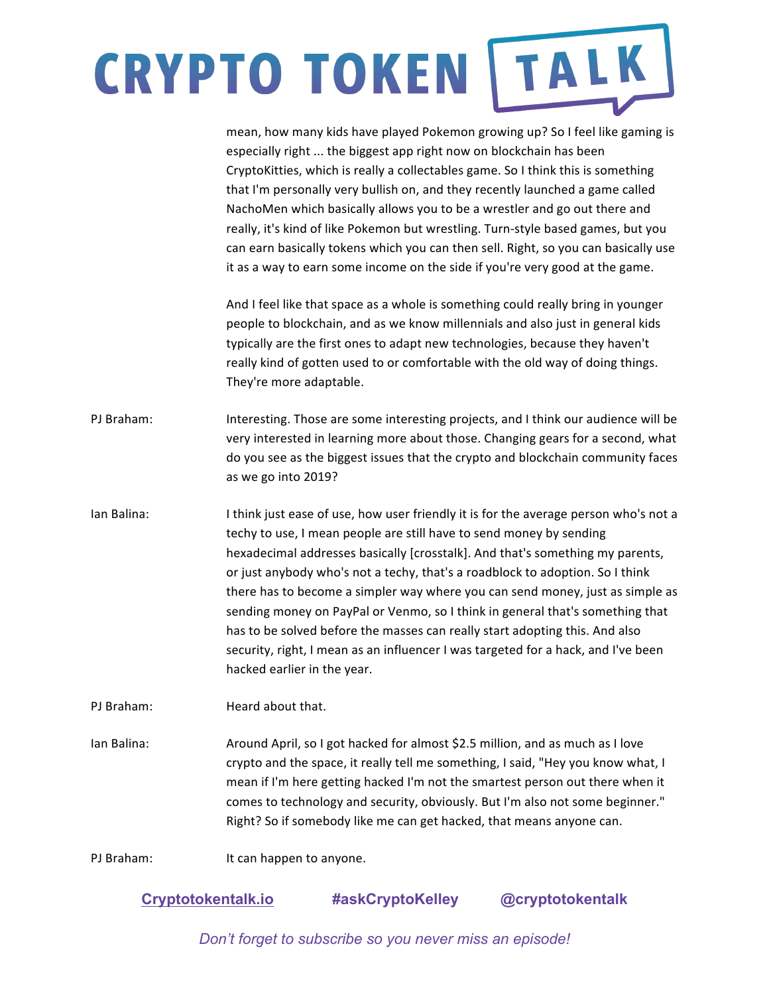|             | mean, how many kids have played Pokemon growing up? So I feel like gaming is<br>especially right  the biggest app right now on blockchain has been<br>CryptoKitties, which is really a collectables game. So I think this is something<br>that I'm personally very bullish on, and they recently launched a game called<br>NachoMen which basically allows you to be a wrestler and go out there and<br>really, it's kind of like Pokemon but wrestling. Turn-style based games, but you<br>can earn basically tokens which you can then sell. Right, so you can basically use<br>it as a way to earn some income on the side if you're very good at the game.                                     |
|-------------|----------------------------------------------------------------------------------------------------------------------------------------------------------------------------------------------------------------------------------------------------------------------------------------------------------------------------------------------------------------------------------------------------------------------------------------------------------------------------------------------------------------------------------------------------------------------------------------------------------------------------------------------------------------------------------------------------|
|             | And I feel like that space as a whole is something could really bring in younger<br>people to blockchain, and as we know millennials and also just in general kids<br>typically are the first ones to adapt new technologies, because they haven't<br>really kind of gotten used to or comfortable with the old way of doing things.<br>They're more adaptable.                                                                                                                                                                                                                                                                                                                                    |
| PJ Braham:  | Interesting. Those are some interesting projects, and I think our audience will be<br>very interested in learning more about those. Changing gears for a second, what<br>do you see as the biggest issues that the crypto and blockchain community faces<br>as we go into 2019?                                                                                                                                                                                                                                                                                                                                                                                                                    |
| Ian Balina: | I think just ease of use, how user friendly it is for the average person who's not a<br>techy to use, I mean people are still have to send money by sending<br>hexadecimal addresses basically [crosstalk]. And that's something my parents,<br>or just anybody who's not a techy, that's a roadblock to adoption. So I think<br>there has to become a simpler way where you can send money, just as simple as<br>sending money on PayPal or Venmo, so I think in general that's something that<br>has to be solved before the masses can really start adopting this. And also<br>security, right, I mean as an influencer I was targeted for a hack, and I've been<br>hacked earlier in the year. |
| PJ Braham:  | Heard about that.                                                                                                                                                                                                                                                                                                                                                                                                                                                                                                                                                                                                                                                                                  |
| Ian Balina: | Around April, so I got hacked for almost \$2.5 million, and as much as I love<br>crypto and the space, it really tell me something, I said, "Hey you know what, I<br>mean if I'm here getting hacked I'm not the smartest person out there when it<br>comes to technology and security, obviously. But I'm also not some beginner."<br>Right? So if somebody like me can get hacked, that means anyone can.                                                                                                                                                                                                                                                                                        |
| PJ Braham:  | It can happen to anyone.                                                                                                                                                                                                                                                                                                                                                                                                                                                                                                                                                                                                                                                                           |

### **Cryptotokentalk.io #askCryptoKelley @cryptotokentalk**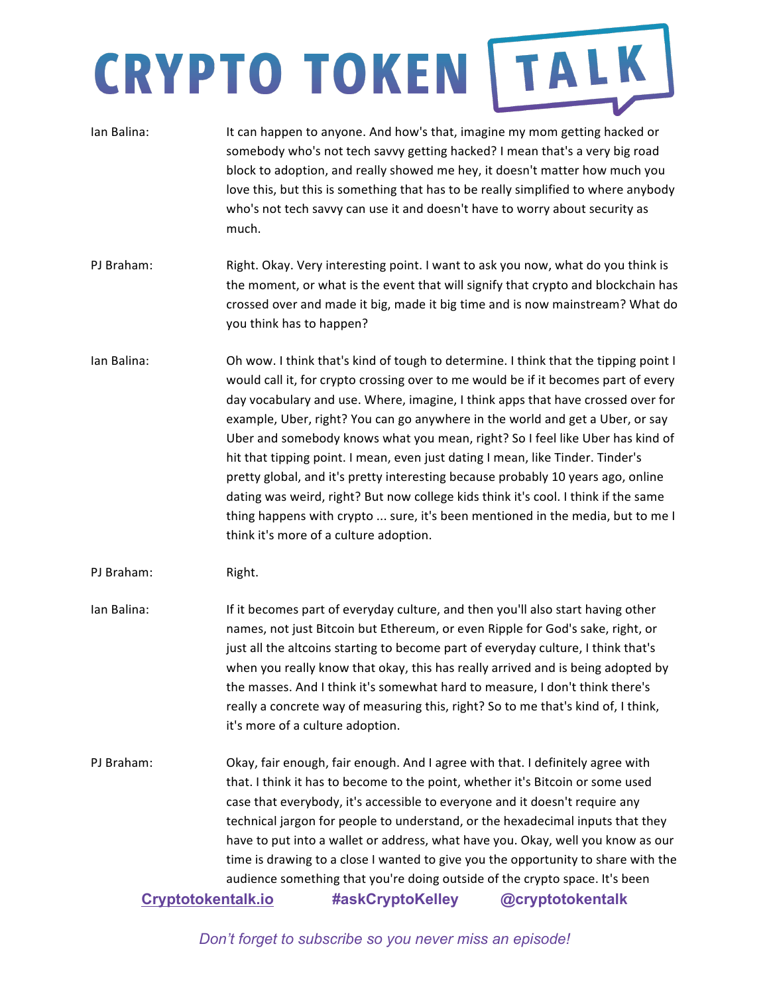| Ian Balina:                      | It can happen to anyone. And how's that, imagine my mom getting hacked or<br>somebody who's not tech savvy getting hacked? I mean that's a very big road<br>block to adoption, and really showed me hey, it doesn't matter how much you<br>love this, but this is something that has to be really simplified to where anybody<br>who's not tech savvy can use it and doesn't have to worry about security as<br>much.                                                                                                                                                                                                                                                                                                                                                                                                  |
|----------------------------------|------------------------------------------------------------------------------------------------------------------------------------------------------------------------------------------------------------------------------------------------------------------------------------------------------------------------------------------------------------------------------------------------------------------------------------------------------------------------------------------------------------------------------------------------------------------------------------------------------------------------------------------------------------------------------------------------------------------------------------------------------------------------------------------------------------------------|
| PJ Braham:                       | Right. Okay. Very interesting point. I want to ask you now, what do you think is<br>the moment, or what is the event that will signify that crypto and blockchain has<br>crossed over and made it big, made it big time and is now mainstream? What do<br>you think has to happen?                                                                                                                                                                                                                                                                                                                                                                                                                                                                                                                                     |
| Ian Balina:                      | Oh wow. I think that's kind of tough to determine. I think that the tipping point I<br>would call it, for crypto crossing over to me would be if it becomes part of every<br>day vocabulary and use. Where, imagine, I think apps that have crossed over for<br>example, Uber, right? You can go anywhere in the world and get a Uber, or say<br>Uber and somebody knows what you mean, right? So I feel like Uber has kind of<br>hit that tipping point. I mean, even just dating I mean, like Tinder. Tinder's<br>pretty global, and it's pretty interesting because probably 10 years ago, online<br>dating was weird, right? But now college kids think it's cool. I think if the same<br>thing happens with crypto  sure, it's been mentioned in the media, but to me I<br>think it's more of a culture adoption. |
| PJ Braham:                       | Right.                                                                                                                                                                                                                                                                                                                                                                                                                                                                                                                                                                                                                                                                                                                                                                                                                 |
| Ian Balina:                      | If it becomes part of everyday culture, and then you'll also start having other<br>names, not just Bitcoin but Ethereum, or even Ripple for God's sake, right, or<br>just all the altcoins starting to become part of everyday culture, I think that's<br>when you really know that okay, this has really arrived and is being adopted by<br>the masses. And I think it's somewhat hard to measure, I don't think there's<br>really a concrete way of measuring this, right? So to me that's kind of, I think,<br>it's more of a culture adoption.                                                                                                                                                                                                                                                                     |
| PJ Braham:<br>Cryptotokentalk.io | Okay, fair enough, fair enough. And I agree with that. I definitely agree with<br>that. I think it has to become to the point, whether it's Bitcoin or some used<br>case that everybody, it's accessible to everyone and it doesn't require any<br>technical jargon for people to understand, or the hexadecimal inputs that they<br>have to put into a wallet or address, what have you. Okay, well you know as our<br>time is drawing to a close I wanted to give you the opportunity to share with the<br>audience something that you're doing outside of the crypto space. It's been<br>#askCryptoKelley<br>@cryptotokentalk                                                                                                                                                                                       |
|                                  |                                                                                                                                                                                                                                                                                                                                                                                                                                                                                                                                                                                                                                                                                                                                                                                                                        |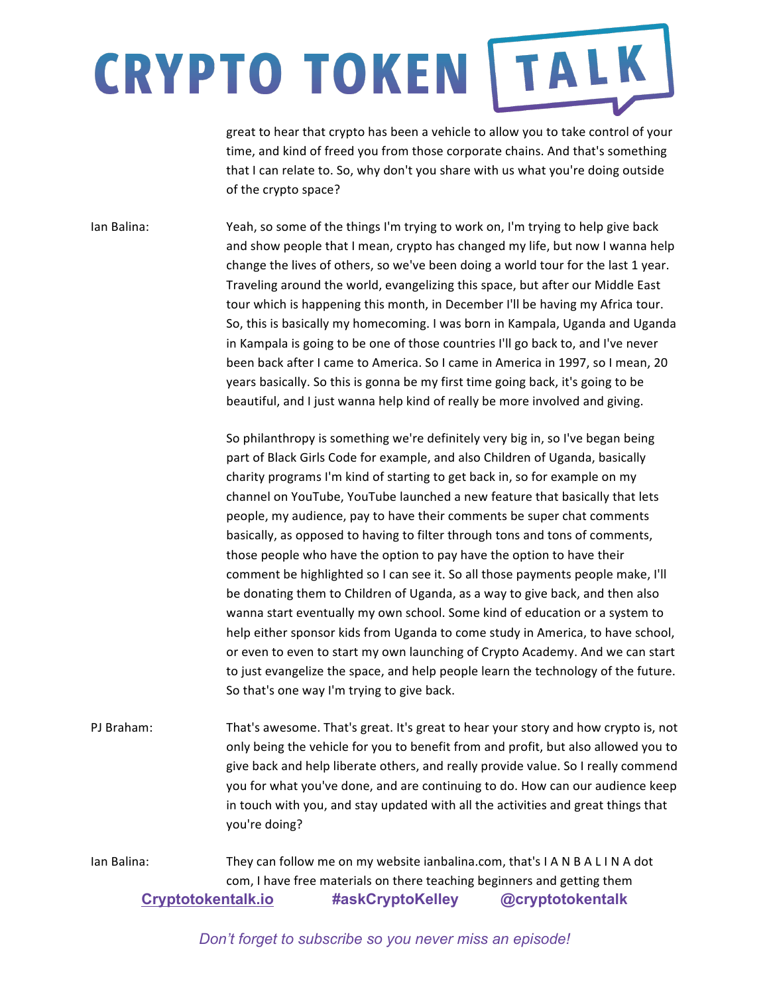great to hear that crypto has been a vehicle to allow you to take control of your time, and kind of freed you from those corporate chains. And that's something that I can relate to. So, why don't you share with us what you're doing outside of the crypto space?

Ian Balina: Yeah, so some of the things I'm trying to work on, I'm trying to help give back and show people that I mean, crypto has changed my life, but now I wanna help change the lives of others, so we've been doing a world tour for the last 1 year. Traveling around the world, evangelizing this space, but after our Middle East tour which is happening this month, in December I'll be having my Africa tour. So, this is basically my homecoming. I was born in Kampala, Uganda and Uganda in Kampala is going to be one of those countries I'll go back to, and I've never been back after I came to America. So I came in America in 1997, so I mean, 20 years basically. So this is gonna be my first time going back, it's going to be beautiful, and I just wanna help kind of really be more involved and giving.

> So philanthropy is something we're definitely very big in, so I've began being part of Black Girls Code for example, and also Children of Uganda, basically charity programs I'm kind of starting to get back in, so for example on my channel on YouTube, YouTube launched a new feature that basically that lets people, my audience, pay to have their comments be super chat comments basically, as opposed to having to filter through tons and tons of comments, those people who have the option to pay have the option to have their comment be highlighted so I can see it. So all those payments people make, I'll be donating them to Children of Uganda, as a way to give back, and then also wanna start eventually my own school. Some kind of education or a system to help either sponsor kids from Uganda to come study in America, to have school, or even to even to start my own launching of Crypto Academy. And we can start to just evangelize the space, and help people learn the technology of the future. So that's one way I'm trying to give back.

PJ Braham: That's awesome. That's great. It's great to hear your story and how crypto is, not only being the vehicle for you to benefit from and profit, but also allowed you to give back and help liberate others, and really provide value. So I really commend you for what you've done, and are continuing to do. How can our audience keep in touch with you, and stay updated with all the activities and great things that you're doing?

**Cryptotokentalk.io #askCryptoKelley @cryptotokentalk** Ian Balina: They can follow me on my website ianbalina.com, that's I A N B A L I N A dot com, I have free materials on there teaching beginners and getting them